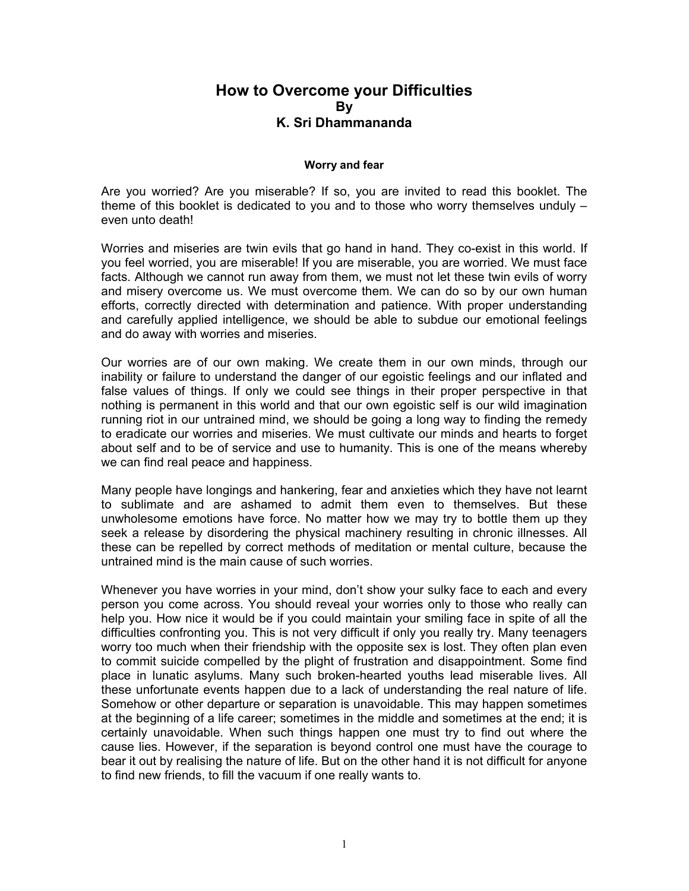# **How to Overcome your Difficulties By K. Sri Dhammananda**

#### **Worry and fear**

Are you worried? Are you miserable? If so, you are invited to read this booklet. The theme of this booklet is dedicated to you and to those who worry themselves unduly – even unto death!

Worries and miseries are twin evils that go hand in hand. They co-exist in this world. If you feel worried, you are miserable! If you are miserable, you are worried. We must face facts. Although we cannot run away from them, we must not let these twin evils of worry and misery overcome us. We must overcome them. We can do so by our own human efforts, correctly directed with determination and patience. With proper understanding and carefully applied intelligence, we should be able to subdue our emotional feelings and do away with worries and miseries.

Our worries are of our own making. We create them in our own minds, through our inability or failure to understand the danger of our egoistic feelings and our inflated and false values of things. If only we could see things in their proper perspective in that nothing is permanent in this world and that our own egoistic self is our wild imagination running riot in our untrained mind, we should be going a long way to finding the remedy to eradicate our worries and miseries. We must cultivate our minds and hearts to forget about self and to be of service and use to humanity. This is one of the means whereby we can find real peace and happiness.

Many people have longings and hankering, fear and anxieties which they have not learnt to sublimate and are ashamed to admit them even to themselves. But these unwholesome emotions have force. No matter how we may try to bottle them up they seek a release by disordering the physical machinery resulting in chronic illnesses. All these can be repelled by correct methods of meditation or mental culture, because the untrained mind is the main cause of such worries.

Whenever you have worries in your mind, don't show your sulky face to each and every person you come across. You should reveal your worries only to those who really can help you. How nice it would be if you could maintain your smiling face in spite of all the difficulties confronting you. This is not very difficult if only you really try. Many teenagers worry too much when their friendship with the opposite sex is lost. They often plan even to commit suicide compelled by the plight of frustration and disappointment. Some find place in lunatic asylums. Many such broken-hearted youths lead miserable lives. All these unfortunate events happen due to a lack of understanding the real nature of life. Somehow or other departure or separation is unavoidable. This may happen sometimes at the beginning of a life career; sometimes in the middle and sometimes at the end; it is certainly unavoidable. When such things happen one must try to find out where the cause lies. However, if the separation is beyond control one must have the courage to bear it out by realising the nature of life. But on the other hand it is not difficult for anyone to find new friends, to fill the vacuum if one really wants to.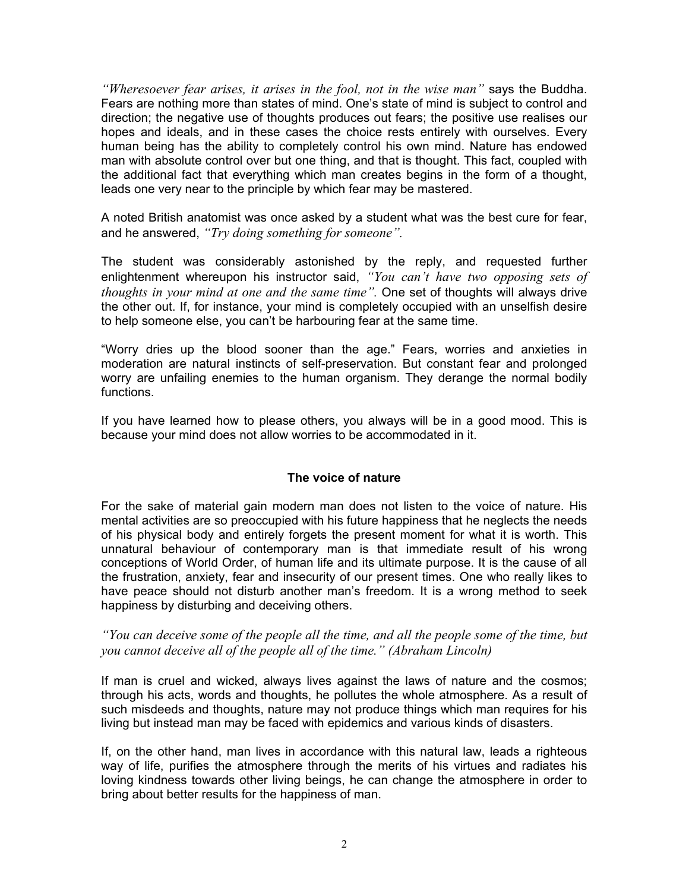*"Wheresoever fear arises, it arises in the fool, not in the wise man"* says the Buddha. Fears are nothing more than states of mind. One's state of mind is subject to control and direction; the negative use of thoughts produces out fears; the positive use realises our hopes and ideals, and in these cases the choice rests entirely with ourselves. Every human being has the ability to completely control his own mind. Nature has endowed man with absolute control over but one thing, and that is thought. This fact, coupled with the additional fact that everything which man creates begins in the form of a thought, leads one very near to the principle by which fear may be mastered.

A noted British anatomist was once asked by a student what was the best cure for fear, and he answered, *"Try doing something for someone".*

The student was considerably astonished by the reply, and requested further enlightenment whereupon his instructor said, *"You can't have two opposing sets of thoughts in your mind at one and the same time".* One set of thoughts will always drive the other out. If, for instance, your mind is completely occupied with an unselfish desire to help someone else, you can't be harbouring fear at the same time.

"Worry dries up the blood sooner than the age." Fears, worries and anxieties in moderation are natural instincts of self-preservation. But constant fear and prolonged worry are unfailing enemies to the human organism. They derange the normal bodily functions.

If you have learned how to please others, you always will be in a good mood. This is because your mind does not allow worries to be accommodated in it.

# **The voice of nature**

For the sake of material gain modern man does not listen to the voice of nature. His mental activities are so preoccupied with his future happiness that he neglects the needs of his physical body and entirely forgets the present moment for what it is worth. This unnatural behaviour of contemporary man is that immediate result of his wrong conceptions of World Order, of human life and its ultimate purpose. It is the cause of all the frustration, anxiety, fear and insecurity of our present times. One who really likes to have peace should not disturb another man's freedom. It is a wrong method to seek happiness by disturbing and deceiving others.

### *"You can deceive some of the people all the time, and all the people some of the time, but you cannot deceive all of the people all of the time." (Abraham Lincoln)*

If man is cruel and wicked, always lives against the laws of nature and the cosmos; through his acts, words and thoughts, he pollutes the whole atmosphere. As a result of such misdeeds and thoughts, nature may not produce things which man requires for his living but instead man may be faced with epidemics and various kinds of disasters.

If, on the other hand, man lives in accordance with this natural law, leads a righteous way of life, purifies the atmosphere through the merits of his virtues and radiates his loving kindness towards other living beings, he can change the atmosphere in order to bring about better results for the happiness of man.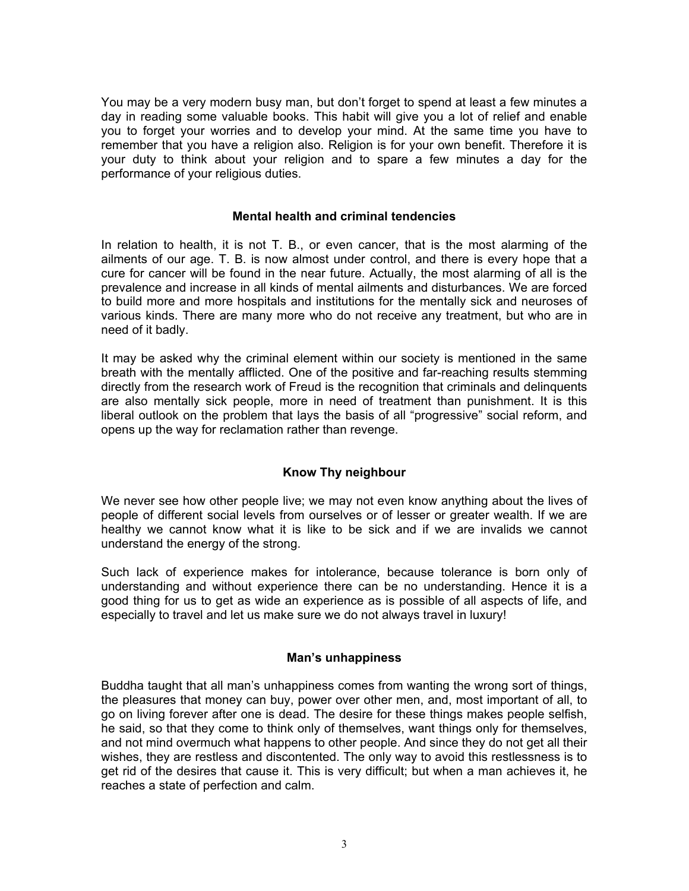You may be a very modern busy man, but don't forget to spend at least a few minutes a day in reading some valuable books. This habit will give you a lot of relief and enable you to forget your worries and to develop your mind. At the same time you have to remember that you have a religion also. Religion is for your own benefit. Therefore it is your duty to think about your religion and to spare a few minutes a day for the performance of your religious duties.

#### **Mental health and criminal tendencies**

In relation to health, it is not T. B., or even cancer, that is the most alarming of the ailments of our age. T. B. is now almost under control, and there is every hope that a cure for cancer will be found in the near future. Actually, the most alarming of all is the prevalence and increase in all kinds of mental ailments and disturbances. We are forced to build more and more hospitals and institutions for the mentally sick and neuroses of various kinds. There are many more who do not receive any treatment, but who are in need of it badly.

It may be asked why the criminal element within our society is mentioned in the same breath with the mentally afflicted. One of the positive and far-reaching results stemming directly from the research work of Freud is the recognition that criminals and delinquents are also mentally sick people, more in need of treatment than punishment. It is this liberal outlook on the problem that lays the basis of all "progressive" social reform, and opens up the way for reclamation rather than revenge.

# **Know Thy neighbour**

We never see how other people live; we may not even know anything about the lives of people of different social levels from ourselves or of lesser or greater wealth. If we are healthy we cannot know what it is like to be sick and if we are invalids we cannot understand the energy of the strong.

Such lack of experience makes for intolerance, because tolerance is born only of understanding and without experience there can be no understanding. Hence it is a good thing for us to get as wide an experience as is possible of all aspects of life, and especially to travel and let us make sure we do not always travel in luxury!

# **Man's unhappiness**

Buddha taught that all man's unhappiness comes from wanting the wrong sort of things, the pleasures that money can buy, power over other men, and, most important of all, to go on living forever after one is dead. The desire for these things makes people selfish, he said, so that they come to think only of themselves, want things only for themselves, and not mind overmuch what happens to other people. And since they do not get all their wishes, they are restless and discontented. The only way to avoid this restlessness is to get rid of the desires that cause it. This is very difficult; but when a man achieves it, he reaches a state of perfection and calm.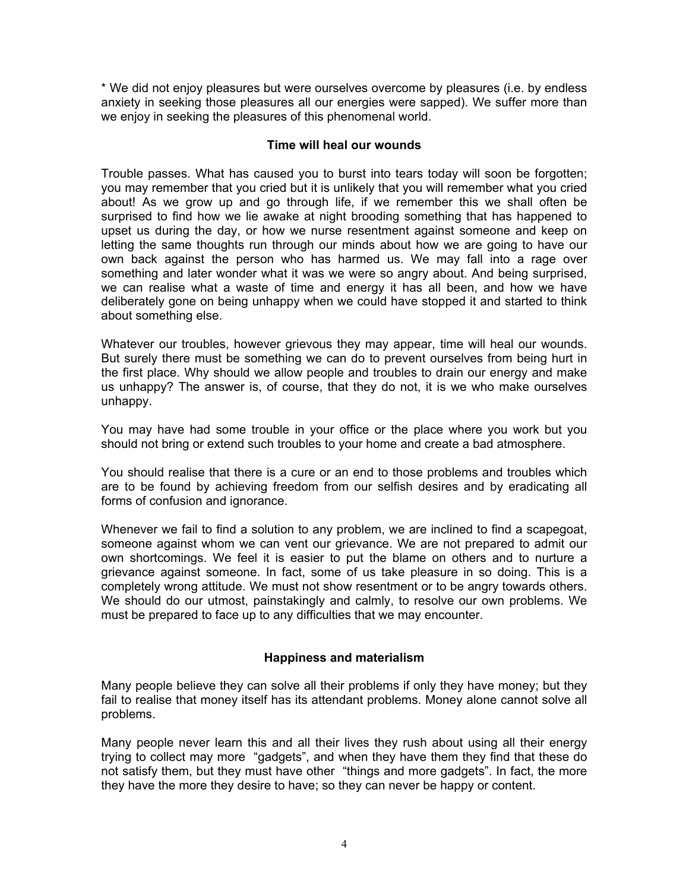\* We did not enjoy pleasures but were ourselves overcome by pleasures (i.e. by endless anxiety in seeking those pleasures all our energies were sapped). We suffer more than we enjoy in seeking the pleasures of this phenomenal world.

### **Time will heal our wounds**

Trouble passes. What has caused you to burst into tears today will soon be forgotten; you may remember that you cried but it is unlikely that you will remember what you cried about! As we grow up and go through life, if we remember this we shall often be surprised to find how we lie awake at night brooding something that has happened to upset us during the day, or how we nurse resentment against someone and keep on letting the same thoughts run through our minds about how we are going to have our own back against the person who has harmed us. We may fall into a rage over something and later wonder what it was we were so angry about. And being surprised, we can realise what a waste of time and energy it has all been, and how we have deliberately gone on being unhappy when we could have stopped it and started to think about something else.

Whatever our troubles, however grievous they may appear, time will heal our wounds. But surely there must be something we can do to prevent ourselves from being hurt in the first place. Why should we allow people and troubles to drain our energy and make us unhappy? The answer is, of course, that they do not, it is we who make ourselves unhappy.

You may have had some trouble in your office or the place where you work but you should not bring or extend such troubles to your home and create a bad atmosphere.

You should realise that there is a cure or an end to those problems and troubles which are to be found by achieving freedom from our selfish desires and by eradicating all forms of confusion and ignorance.

Whenever we fail to find a solution to any problem, we are inclined to find a scapegoat, someone against whom we can vent our grievance. We are not prepared to admit our own shortcomings. We feel it is easier to put the blame on others and to nurture a grievance against someone. In fact, some of us take pleasure in so doing. This is a completely wrong attitude. We must not show resentment or to be angry towards others. We should do our utmost, painstakingly and calmly, to resolve our own problems. We must be prepared to face up to any difficulties that we may encounter.

# **Happiness and materialism**

Many people believe they can solve all their problems if only they have money; but they fail to realise that money itself has its attendant problems. Money alone cannot solve all problems.

Many people never learn this and all their lives they rush about using all their energy trying to collect may more "gadgets", and when they have them they find that these do not satisfy them, but they must have other "things and more gadgets". In fact, the more they have the more they desire to have; so they can never be happy or content.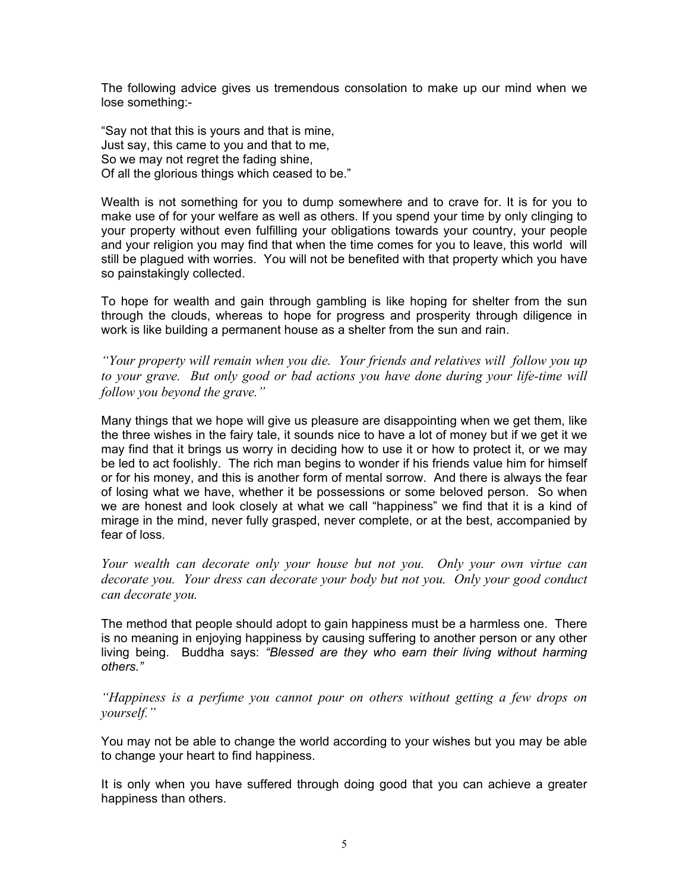The following advice gives us tremendous consolation to make up our mind when we lose something:-

"Say not that this is yours and that is mine, Just say, this came to you and that to me, So we may not regret the fading shine, Of all the glorious things which ceased to be."

Wealth is not something for you to dump somewhere and to crave for. It is for you to make use of for your welfare as well as others. If you spend your time by only clinging to your property without even fulfilling your obligations towards your country, your people and your religion you may find that when the time comes for you to leave, this world will still be plagued with worries. You will not be benefited with that property which you have so painstakingly collected.

To hope for wealth and gain through gambling is like hoping for shelter from the sun through the clouds, whereas to hope for progress and prosperity through diligence in work is like building a permanent house as a shelter from the sun and rain.

*"Your property will remain when you die. Your friends and relatives will follow you up to your grave. But only good or bad actions you have done during your life-time will follow you beyond the grave."* 

Many things that we hope will give us pleasure are disappointing when we get them, like the three wishes in the fairy tale, it sounds nice to have a lot of money but if we get it we may find that it brings us worry in deciding how to use it or how to protect it, or we may be led to act foolishly. The rich man begins to wonder if his friends value him for himself or for his money, and this is another form of mental sorrow. And there is always the fear of losing what we have, whether it be possessions or some beloved person. So when we are honest and look closely at what we call "happiness" we find that it is a kind of mirage in the mind, never fully grasped, never complete, or at the best, accompanied by fear of loss.

*Your wealth can decorate only your house but not you. Only your own virtue can decorate you. Your dress can decorate your body but not you. Only your good conduct can decorate you.* 

The method that people should adopt to gain happiness must be a harmless one. There is no meaning in enjoying happiness by causing suffering to another person or any other living being. Buddha says: *"Blessed are they who earn their living without harming others."*

*"Happiness is a perfume you cannot pour on others without getting a few drops on yourself."* 

You may not be able to change the world according to your wishes but you may be able to change your heart to find happiness.

It is only when you have suffered through doing good that you can achieve a greater happiness than others.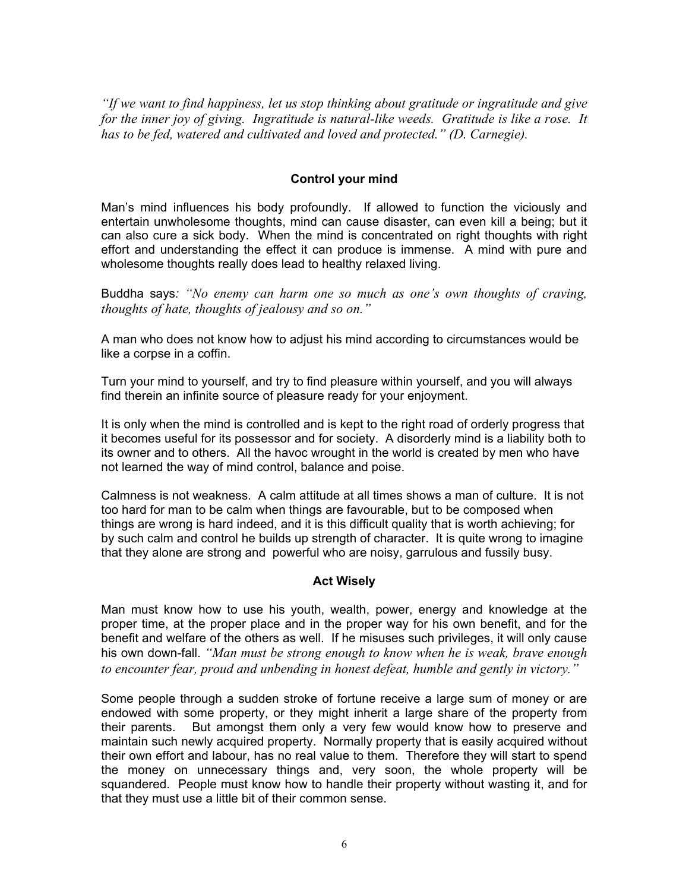*"If we want to find happiness, let us stop thinking about gratitude or ingratitude and give for the inner joy of giving. Ingratitude is natural-like weeds. Gratitude is like a rose. It has to be fed, watered and cultivated and loved and protected." (D. Carnegie).*

# **Control your mind**

Man's mind influences his body profoundly. If allowed to function the viciously and entertain unwholesome thoughts, mind can cause disaster, can even kill a being; but it can also cure a sick body. When the mind is concentrated on right thoughts with right effort and understanding the effect it can produce is immense. A mind with pure and wholesome thoughts really does lead to healthy relaxed living.

Buddha says*: "No enemy can harm one so much as one's own thoughts of craving, thoughts of hate, thoughts of jealousy and so on."* 

A man who does not know how to adjust his mind according to circumstances would be like a corpse in a coffin.

Turn your mind to yourself, and try to find pleasure within yourself, and you will always find therein an infinite source of pleasure ready for your enjoyment.

It is only when the mind is controlled and is kept to the right road of orderly progress that it becomes useful for its possessor and for society. A disorderly mind is a liability both to its owner and to others. All the havoc wrought in the world is created by men who have not learned the way of mind control, balance and poise.

Calmness is not weakness. A calm attitude at all times shows a man of culture. It is not too hard for man to be calm when things are favourable, but to be composed when things are wrong is hard indeed, and it is this difficult quality that is worth achieving; for by such calm and control he builds up strength of character. It is quite wrong to imagine that they alone are strong and powerful who are noisy, garrulous and fussily busy.

# **Act Wisely**

Man must know how to use his youth, wealth, power, energy and knowledge at the proper time, at the proper place and in the proper way for his own benefit, and for the benefit and welfare of the others as well. If he misuses such privileges, it will only cause his own down-fall. *"Man must be strong enough to know when he is weak, brave enough to encounter fear, proud and unbending in honest defeat, humble and gently in victory."* 

Some people through a sudden stroke of fortune receive a large sum of money or are endowed with some property, or they might inherit a large share of the property from their parents. But amongst them only a very few would know how to preserve and maintain such newly acquired property. Normally property that is easily acquired without their own effort and labour, has no real value to them. Therefore they will start to spend the money on unnecessary things and, very soon, the whole property will be squandered. People must know how to handle their property without wasting it, and for that they must use a little bit of their common sense.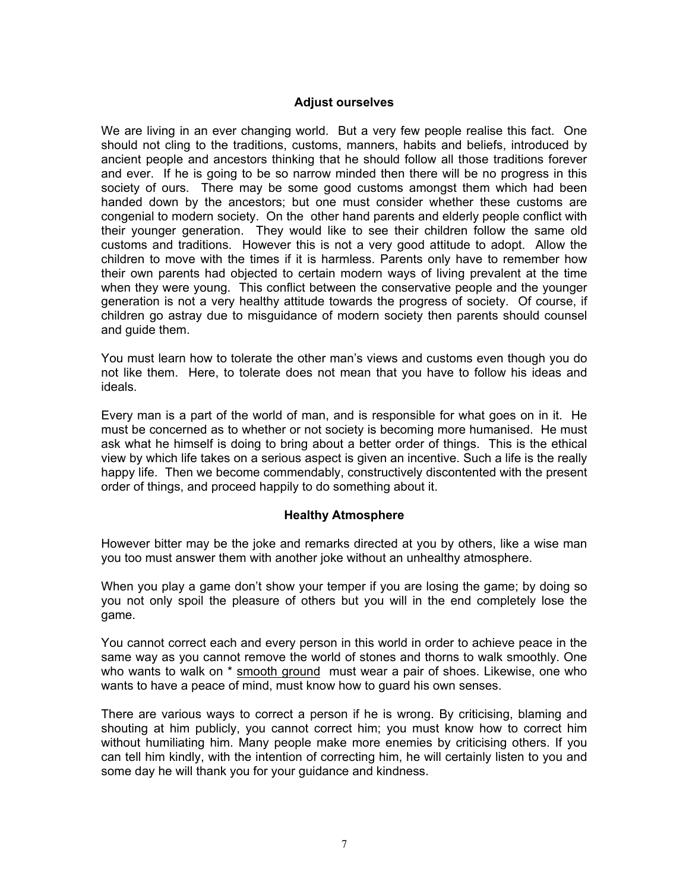### **Adjust ourselves**

We are living in an ever changing world. But a very few people realise this fact. One should not cling to the traditions, customs, manners, habits and beliefs, introduced by ancient people and ancestors thinking that he should follow all those traditions forever and ever. If he is going to be so narrow minded then there will be no progress in this society of ours. There may be some good customs amongst them which had been handed down by the ancestors; but one must consider whether these customs are congenial to modern society. On the other hand parents and elderly people conflict with their younger generation. They would like to see their children follow the same old customs and traditions. However this is not a very good attitude to adopt. Allow the children to move with the times if it is harmless. Parents only have to remember how their own parents had objected to certain modern ways of living prevalent at the time when they were young. This conflict between the conservative people and the younger generation is not a very healthy attitude towards the progress of society. Of course, if children go astray due to misguidance of modern society then parents should counsel and guide them.

You must learn how to tolerate the other man's views and customs even though you do not like them. Here, to tolerate does not mean that you have to follow his ideas and ideals.

Every man is a part of the world of man, and is responsible for what goes on in it. He must be concerned as to whether or not society is becoming more humanised. He must ask what he himself is doing to bring about a better order of things. This is the ethical view by which life takes on a serious aspect is given an incentive. Such a life is the really happy life. Then we become commendably, constructively discontented with the present order of things, and proceed happily to do something about it.

# **Healthy Atmosphere**

However bitter may be the joke and remarks directed at you by others, like a wise man you too must answer them with another joke without an unhealthy atmosphere.

When you play a game don't show your temper if you are losing the game; by doing so you not only spoil the pleasure of others but you will in the end completely lose the game.

You cannot correct each and every person in this world in order to achieve peace in the same way as you cannot remove the world of stones and thorns to walk smoothly. One who wants to walk on \* smooth ground must wear a pair of shoes. Likewise, one who wants to have a peace of mind, must know how to guard his own senses.

There are various ways to correct a person if he is wrong. By criticising, blaming and shouting at him publicly, you cannot correct him; you must know how to correct him without humiliating him. Many people make more enemies by criticising others. If you can tell him kindly, with the intention of correcting him, he will certainly listen to you and some day he will thank you for your guidance and kindness.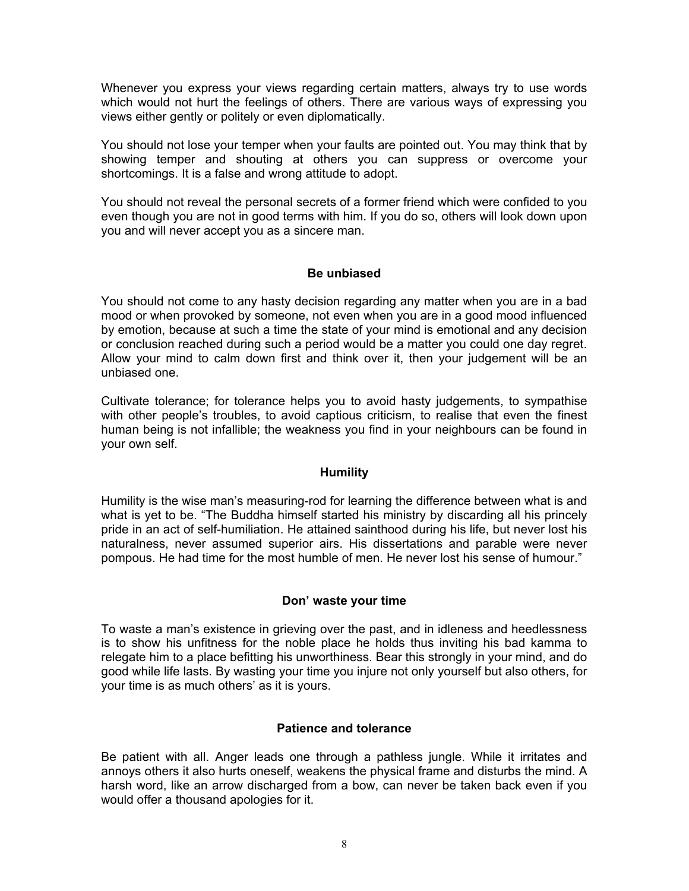Whenever you express your views regarding certain matters, always try to use words which would not hurt the feelings of others. There are various ways of expressing you views either gently or politely or even diplomatically.

You should not lose your temper when your faults are pointed out. You may think that by showing temper and shouting at others you can suppress or overcome your shortcomings. It is a false and wrong attitude to adopt.

You should not reveal the personal secrets of a former friend which were confided to you even though you are not in good terms with him. If you do so, others will look down upon you and will never accept you as a sincere man.

# **Be unbiased**

You should not come to any hasty decision regarding any matter when you are in a bad mood or when provoked by someone, not even when you are in a good mood influenced by emotion, because at such a time the state of your mind is emotional and any decision or conclusion reached during such a period would be a matter you could one day regret. Allow your mind to calm down first and think over it, then your judgement will be an unbiased one.

Cultivate tolerance; for tolerance helps you to avoid hasty judgements, to sympathise with other people's troubles, to avoid captious criticism, to realise that even the finest human being is not infallible; the weakness you find in your neighbours can be found in your own self.

#### **Humility**

Humility is the wise man's measuring-rod for learning the difference between what is and what is yet to be. "The Buddha himself started his ministry by discarding all his princely pride in an act of self-humiliation. He attained sainthood during his life, but never lost his naturalness, never assumed superior airs. His dissertations and parable were never pompous. He had time for the most humble of men. He never lost his sense of humour."

# **Don' waste your time**

To waste a man's existence in grieving over the past, and in idleness and heedlessness is to show his unfitness for the noble place he holds thus inviting his bad kamma to relegate him to a place befitting his unworthiness. Bear this strongly in your mind, and do good while life lasts. By wasting your time you injure not only yourself but also others, for your time is as much others' as it is yours.

# **Patience and tolerance**

Be patient with all. Anger leads one through a pathless jungle. While it irritates and annoys others it also hurts oneself, weakens the physical frame and disturbs the mind. A harsh word, like an arrow discharged from a bow, can never be taken back even if you would offer a thousand apologies for it.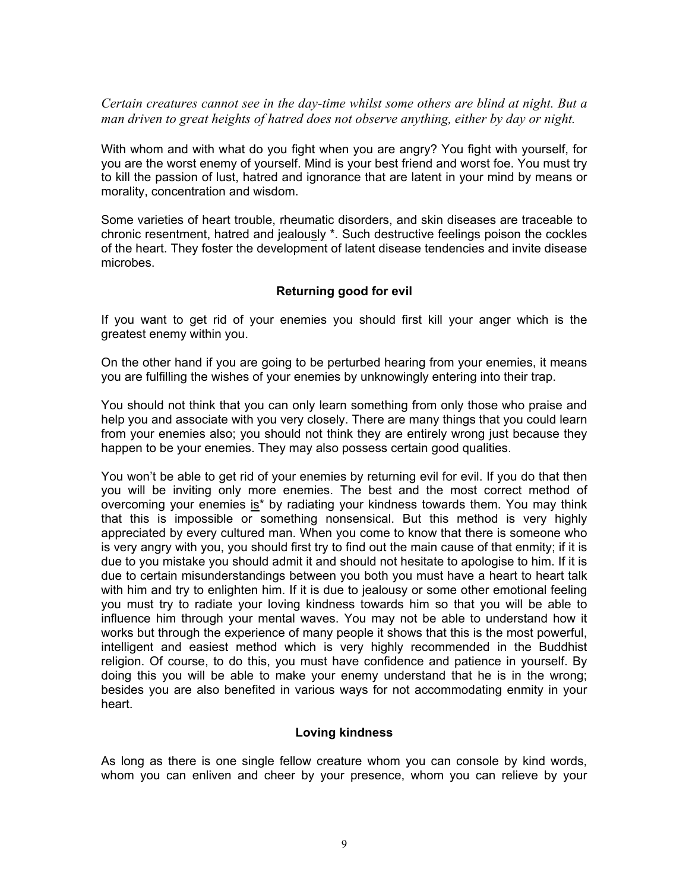*Certain creatures cannot see in the day-time whilst some others are blind at night. But a man driven to great heights of hatred does not observe anything, either by day or night.* 

With whom and with what do you fight when you are angry? You fight with yourself, for you are the worst enemy of yourself. Mind is your best friend and worst foe. You must try to kill the passion of lust, hatred and ignorance that are latent in your mind by means or morality, concentration and wisdom.

Some varieties of heart trouble, rheumatic disorders, and skin diseases are traceable to chronic resentment, hatred and jealously \*. Such destructive feelings poison the cockles of the heart. They foster the development of latent disease tendencies and invite disease microbes.

# **Returning good for evil**

If you want to get rid of your enemies you should first kill your anger which is the greatest enemy within you.

On the other hand if you are going to be perturbed hearing from your enemies, it means you are fulfilling the wishes of your enemies by unknowingly entering into their trap.

You should not think that you can only learn something from only those who praise and help you and associate with you very closely. There are many things that you could learn from your enemies also; you should not think they are entirely wrong just because they happen to be your enemies. They may also possess certain good qualities.

You won't be able to get rid of your enemies by returning evil for evil. If you do that then you will be inviting only more enemies. The best and the most correct method of overcoming your enemies  $is^*$  by radiating your kindness towards them. You may think that this is impossible or something nonsensical. But this method is very highly appreciated by every cultured man. When you come to know that there is someone who is very angry with you, you should first try to find out the main cause of that enmity; if it is due to you mistake you should admit it and should not hesitate to apologise to him. If it is due to certain misunderstandings between you both you must have a heart to heart talk with him and try to enlighten him. If it is due to jealousy or some other emotional feeling you must try to radiate your loving kindness towards him so that you will be able to influence him through your mental waves. You may not be able to understand how it works but through the experience of many people it shows that this is the most powerful, intelligent and easiest method which is very highly recommended in the Buddhist religion. Of course, to do this, you must have confidence and patience in yourself. By doing this you will be able to make your enemy understand that he is in the wrong; besides you are also benefited in various ways for not accommodating enmity in your heart.

#### **Loving kindness**

As long as there is one single fellow creature whom you can console by kind words, whom you can enliven and cheer by your presence, whom you can relieve by your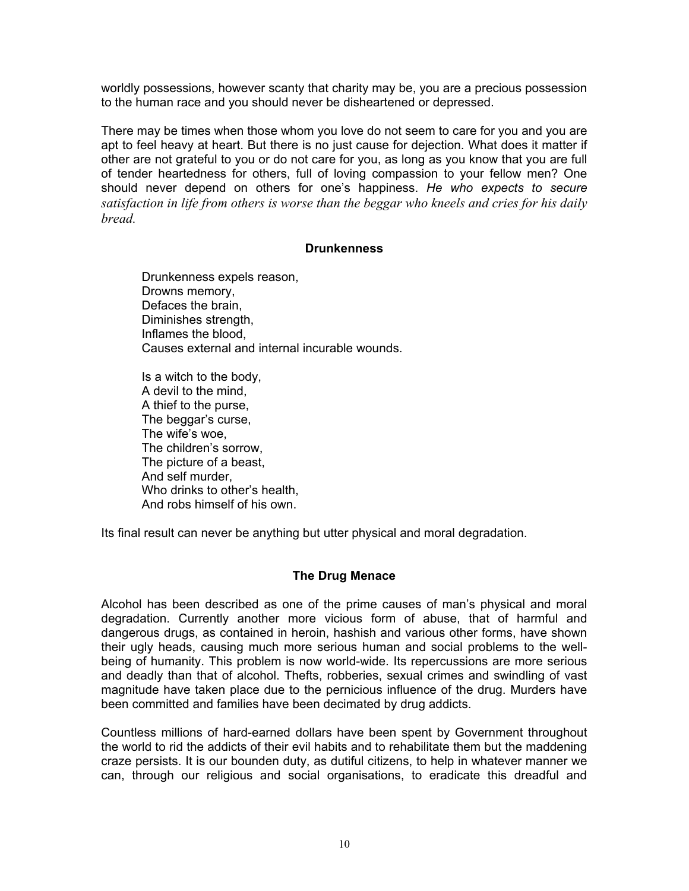worldly possessions, however scanty that charity may be, you are a precious possession to the human race and you should never be disheartened or depressed.

There may be times when those whom you love do not seem to care for you and you are apt to feel heavy at heart. But there is no just cause for dejection. What does it matter if other are not grateful to you or do not care for you, as long as you know that you are full of tender heartedness for others, full of loving compassion to your fellow men? One should never depend on others for one's happiness. *He who expects to secure satisfaction in life from others is worse than the beggar who kneels and cries for his daily bread.* 

#### **Drunkenness**

Drunkenness expels reason, Drowns memory, Defaces the brain, Diminishes strength, Inflames the blood, Causes external and internal incurable wounds.

Is a witch to the body, A devil to the mind, A thief to the purse, The beggar's curse, The wife's woe, The children's sorrow, The picture of a beast, And self murder, Who drinks to other's health. And robs himself of his own.

Its final result can never be anything but utter physical and moral degradation.

#### **The Drug Menace**

Alcohol has been described as one of the prime causes of man's physical and moral degradation. Currently another more vicious form of abuse, that of harmful and dangerous drugs, as contained in heroin, hashish and various other forms, have shown their ugly heads, causing much more serious human and social problems to the wellbeing of humanity. This problem is now world-wide. Its repercussions are more serious and deadly than that of alcohol. Thefts, robberies, sexual crimes and swindling of vast magnitude have taken place due to the pernicious influence of the drug. Murders have been committed and families have been decimated by drug addicts.

Countless millions of hard-earned dollars have been spent by Government throughout the world to rid the addicts of their evil habits and to rehabilitate them but the maddening craze persists. It is our bounden duty, as dutiful citizens, to help in whatever manner we can, through our religious and social organisations, to eradicate this dreadful and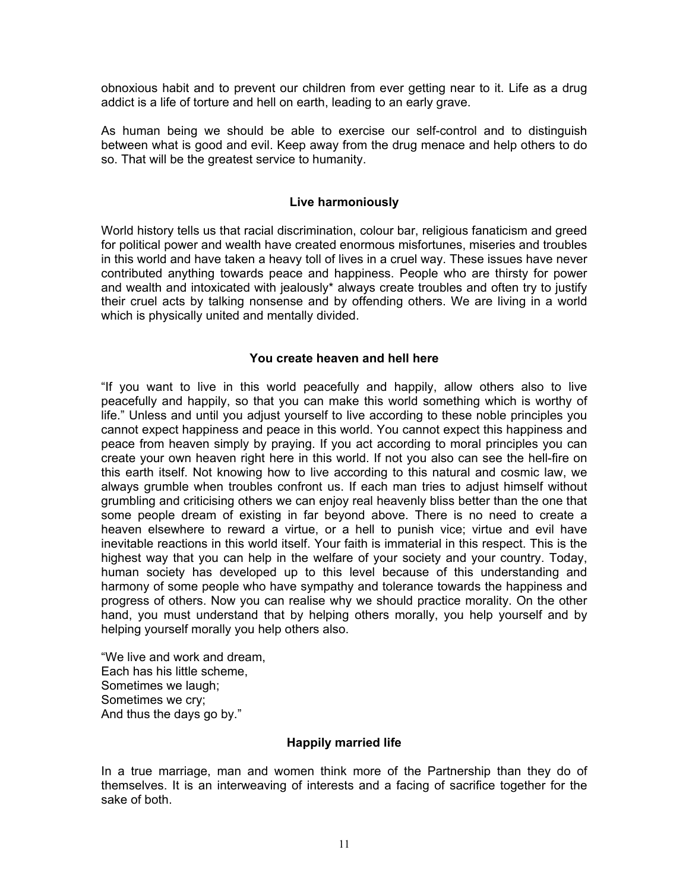obnoxious habit and to prevent our children from ever getting near to it. Life as a drug addict is a life of torture and hell on earth, leading to an early grave.

As human being we should be able to exercise our self-control and to distinguish between what is good and evil. Keep away from the drug menace and help others to do so. That will be the greatest service to humanity.

### **Live harmoniously**

World history tells us that racial discrimination, colour bar, religious fanaticism and greed for political power and wealth have created enormous misfortunes, miseries and troubles in this world and have taken a heavy toll of lives in a cruel way. These issues have never contributed anything towards peace and happiness. People who are thirsty for power and wealth and intoxicated with jealously\* always create troubles and often try to justify their cruel acts by talking nonsense and by offending others. We are living in a world which is physically united and mentally divided.

### **You create heaven and hell here**

"If you want to live in this world peacefully and happily, allow others also to live peacefully and happily, so that you can make this world something which is worthy of life." Unless and until you adjust yourself to live according to these noble principles you cannot expect happiness and peace in this world. You cannot expect this happiness and peace from heaven simply by praying. If you act according to moral principles you can create your own heaven right here in this world. If not you also can see the hell-fire on this earth itself. Not knowing how to live according to this natural and cosmic law, we always grumble when troubles confront us. If each man tries to adjust himself without grumbling and criticising others we can enjoy real heavenly bliss better than the one that some people dream of existing in far beyond above. There is no need to create a heaven elsewhere to reward a virtue, or a hell to punish vice; virtue and evil have inevitable reactions in this world itself. Your faith is immaterial in this respect. This is the highest way that you can help in the welfare of your society and your country. Today, human society has developed up to this level because of this understanding and harmony of some people who have sympathy and tolerance towards the happiness and progress of others. Now you can realise why we should practice morality. On the other hand, you must understand that by helping others morally, you help yourself and by helping yourself morally you help others also.

"We live and work and dream, Each has his little scheme, Sometimes we laugh; Sometimes we cry; And thus the days go by."

#### **Happily married life**

In a true marriage, man and women think more of the Partnership than they do of themselves. It is an interweaving of interests and a facing of sacrifice together for the sake of both.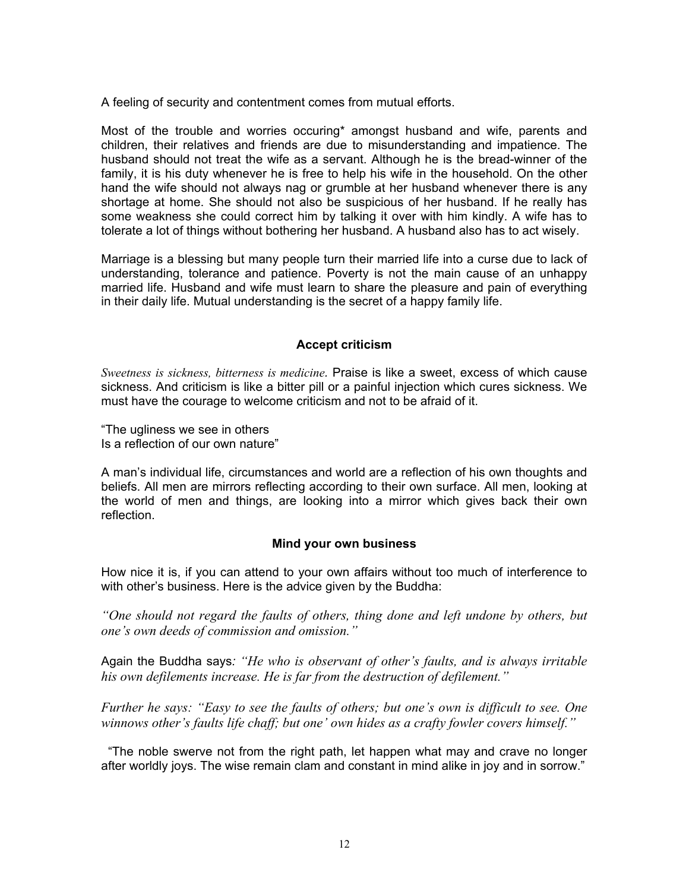A feeling of security and contentment comes from mutual efforts.

Most of the trouble and worries occuring\* amongst husband and wife, parents and children, their relatives and friends are due to misunderstanding and impatience. The husband should not treat the wife as a servant. Although he is the bread-winner of the family, it is his duty whenever he is free to help his wife in the household. On the other hand the wife should not always nag or grumble at her husband whenever there is any shortage at home. She should not also be suspicious of her husband. If he really has some weakness she could correct him by talking it over with him kindly. A wife has to tolerate a lot of things without bothering her husband. A husband also has to act wisely.

Marriage is a blessing but many people turn their married life into a curse due to lack of understanding, tolerance and patience. Poverty is not the main cause of an unhappy married life. Husband and wife must learn to share the pleasure and pain of everything in their daily life. Mutual understanding is the secret of a happy family life.

# **Accept criticism**

*Sweetness is sickness, bitterness is medicine.* Praise is like a sweet, excess of which cause sickness. And criticism is like a bitter pill or a painful injection which cures sickness. We must have the courage to welcome criticism and not to be afraid of it.

"The ugliness we see in others Is a reflection of our own nature"

A man's individual life, circumstances and world are a reflection of his own thoughts and beliefs. All men are mirrors reflecting according to their own surface. All men, looking at the world of men and things, are looking into a mirror which gives back their own reflection.

#### **Mind your own business**

How nice it is, if you can attend to your own affairs without too much of interference to with other's business. Here is the advice given by the Buddha:

*"One should not regard the faults of others, thing done and left undone by others, but one's own deeds of commission and omission."* 

Again the Buddha says*: "He who is observant of other's faults, and is always irritable his own defilements increase. He is far from the destruction of defilement."* 

*Further he says: "Easy to see the faults of others; but one's own is difficult to see. One winnows other's faults life chaff; but one' own hides as a crafty fowler covers himself."*

"The noble swerve not from the right path, let happen what may and crave no longer after worldly joys. The wise remain clam and constant in mind alike in joy and in sorrow."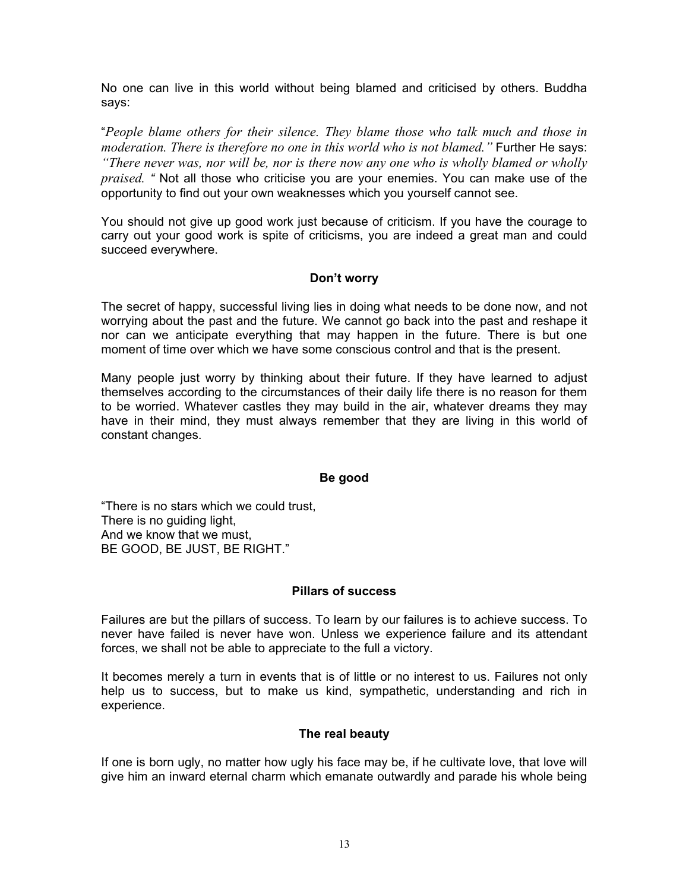No one can live in this world without being blamed and criticised by others. Buddha says:

"*People blame others for their silence. They blame those who talk much and those in moderation. There is therefore no one in this world who is not blamed."* Further He says: *"There never was, nor will be, nor is there now any one who is wholly blamed or wholly praised. "* Not all those who criticise you are your enemies. You can make use of the opportunity to find out your own weaknesses which you yourself cannot see.

You should not give up good work just because of criticism. If you have the courage to carry out your good work is spite of criticisms, you are indeed a great man and could succeed everywhere.

# **Don't worry**

The secret of happy, successful living lies in doing what needs to be done now, and not worrying about the past and the future. We cannot go back into the past and reshape it nor can we anticipate everything that may happen in the future. There is but one moment of time over which we have some conscious control and that is the present.

Many people just worry by thinking about their future. If they have learned to adjust themselves according to the circumstances of their daily life there is no reason for them to be worried. Whatever castles they may build in the air, whatever dreams they may have in their mind, they must always remember that they are living in this world of constant changes.

#### **Be good**

"There is no stars which we could trust, There is no guiding light, And we know that we must, BE GOOD, BE JUST, BE RIGHT."

#### **Pillars of success**

Failures are but the pillars of success. To learn by our failures is to achieve success. To never have failed is never have won. Unless we experience failure and its attendant forces, we shall not be able to appreciate to the full a victory.

It becomes merely a turn in events that is of little or no interest to us. Failures not only help us to success, but to make us kind, sympathetic, understanding and rich in experience.

#### **The real beauty**

If one is born ugly, no matter how ugly his face may be, if he cultivate love, that love will give him an inward eternal charm which emanate outwardly and parade his whole being